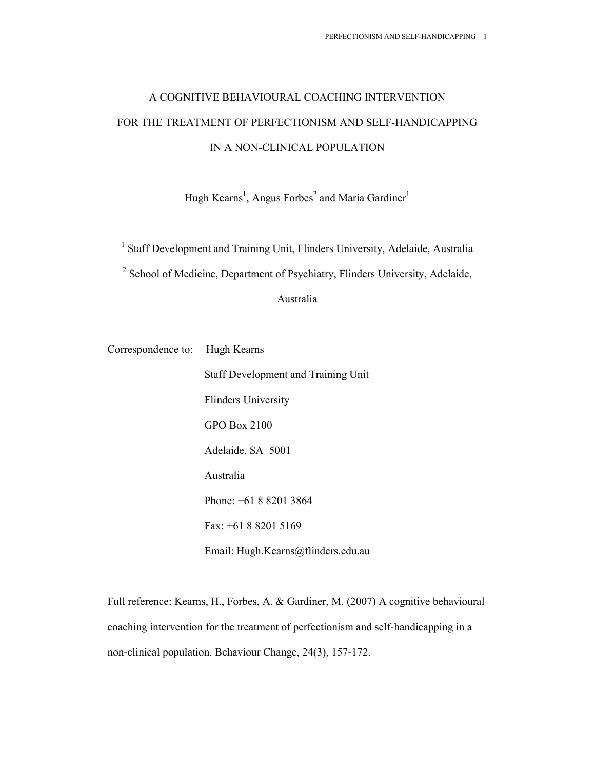# A COGNITIVE BEHAVIOURAL COACHING INTERVENTION FOR THE TREATMENT OF PERFECTIONISM AND SELF-HANDICAPPING IN A NON-CLINICAL POPULATION

Hugh Kearns<sup>1</sup>, Angus Forbes<sup>2</sup> and Maria Gardiner<sup>1</sup>

<sup>1</sup> Staff Development and Training Unit, Flinders University, Adelaide, Australia

<sup>2</sup> School of Medicine, Department of Psychiatry, Flinders University, Adelaide,

Australia

Correspondence to: Hugh Kearns

Staff Development and Training Unit Flinders University GPO Box 2100 Adelaide, SA 5001 Australia Phone: +61 8 8201 3864 Fax: +61 8 8201 5169 Email: Hugh.Kearns@flinders.edu.au

Full reference: Kearns, H., Forbes, A. & Gardiner, M. (2007) A cognitive behavioural coaching intervention for the treatment of perfectionism and self-handicapping in a non-clinical population. Behaviour Change, 24(3), 157-172.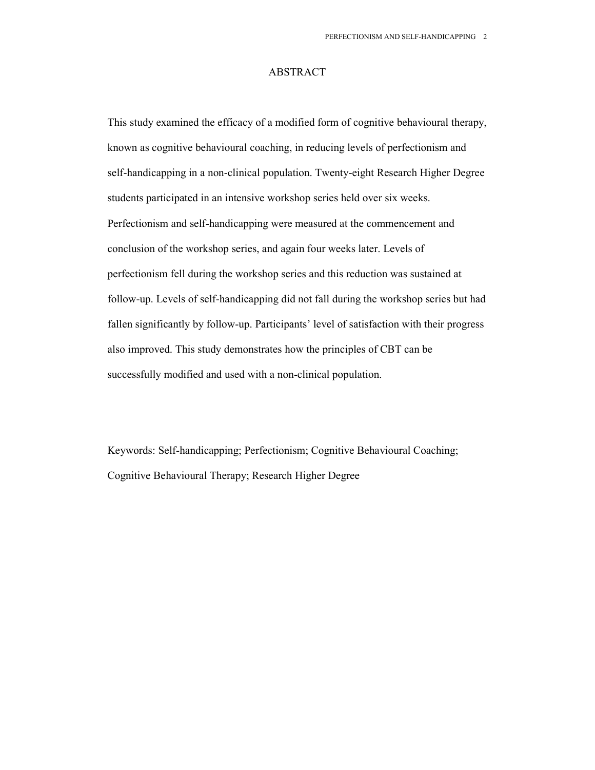#### ABSTRACT

This study examined the efficacy of a modified form of cognitive behavioural therapy, known as cognitive behavioural coaching, in reducing levels of perfectionism and self-handicapping in a non-clinical population. Twenty-eight Research Higher Degree students participated in an intensive workshop series held over six weeks. Perfectionism and self-handicapping were measured at the commencement and conclusion of the workshop series, and again four weeks later. Levels of perfectionism fell during the workshop series and this reduction was sustained at follow-up. Levels of self-handicapping did not fall during the workshop series but had fallen significantly by follow-up. Participants' level of satisfaction with their progress also improved. This study demonstrates how the principles of CBT can be successfully modified and used with a non-clinical population.

Keywords: Self-handicapping; Perfectionism; Cognitive Behavioural Coaching; Cognitive Behavioural Therapy; Research Higher Degree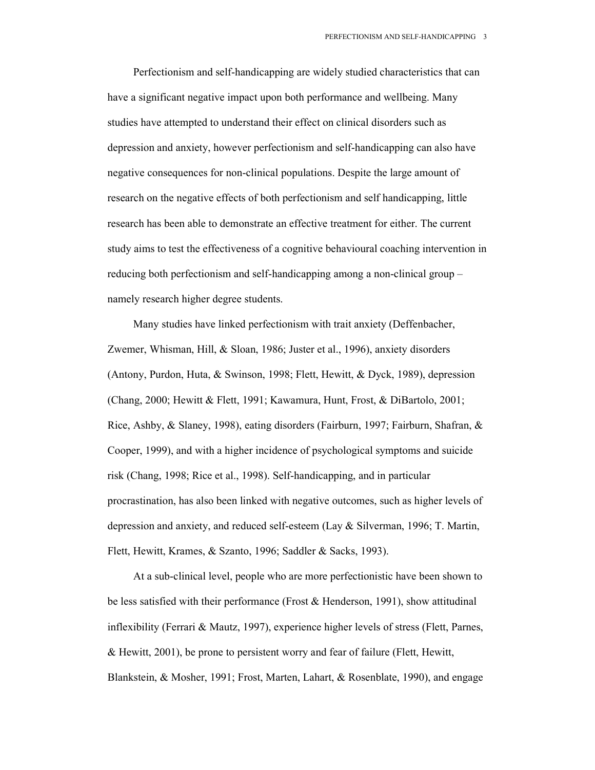Perfectionism and self-handicapping are widely studied characteristics that can have a significant negative impact upon both performance and wellbeing. Many studies have attempted to understand their effect on clinical disorders such as depression and anxiety, however perfectionism and self-handicapping can also have negative consequences for non-clinical populations. Despite the large amount of research on the negative effects of both perfectionism and self handicapping, little research has been able to demonstrate an effective treatment for either. The current study aims to test the effectiveness of a cognitive behavioural coaching intervention in reducing both perfectionism and self-handicapping among a non-clinical group – namely research higher degree students.

Many studies have linked perfectionism with trait anxiety (Deffenbacher, Zwemer, Whisman, Hill, & Sloan, 1986; Juster et al., 1996), anxiety disorders (Antony, Purdon, Huta, & Swinson, 1998; Flett, Hewitt, & Dyck, 1989), depression (Chang, 2000; Hewitt & Flett, 1991; Kawamura, Hunt, Frost, & DiBartolo, 2001; Rice, Ashby, & Slaney, 1998), eating disorders (Fairburn, 1997; Fairburn, Shafran, & Cooper, 1999), and with a higher incidence of psychological symptoms and suicide risk (Chang, 1998; Rice et al., 1998). Self-handicapping, and in particular procrastination, has also been linked with negative outcomes, such as higher levels of depression and anxiety, and reduced self-esteem (Lay & Silverman, 1996; T. Martin, Flett, Hewitt, Krames, & Szanto, 1996; Saddler & Sacks, 1993).

At a sub-clinical level, people who are more perfectionistic have been shown to be less satisfied with their performance (Frost  $\&$  Henderson, 1991), show attitudinal inflexibility (Ferrari & Mautz, 1997), experience higher levels of stress (Flett, Parnes, & Hewitt, 2001), be prone to persistent worry and fear of failure (Flett, Hewitt, Blankstein, & Mosher, 1991; Frost, Marten, Lahart, & Rosenblate, 1990), and engage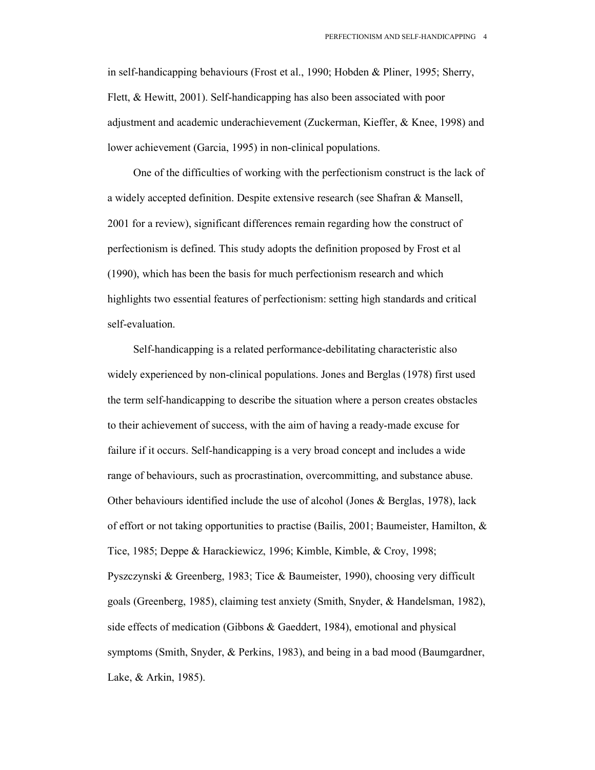in self-handicapping behaviours (Frost et al., 1990; Hobden & Pliner, 1995; Sherry, Flett, & Hewitt, 2001). Self-handicapping has also been associated with poor adjustment and academic underachievement (Zuckerman, Kieffer, & Knee, 1998) and lower achievement (Garcia, 1995) in non-clinical populations.

One of the difficulties of working with the perfectionism construct is the lack of a widely accepted definition. Despite extensive research (see Shafran & Mansell, 2001 for a review), significant differences remain regarding how the construct of perfectionism is defined. This study adopts the definition proposed by Frost et al (1990), which has been the basis for much perfectionism research and which highlights two essential features of perfectionism: setting high standards and critical self-evaluation.

Self-handicapping is a related performance-debilitating characteristic also widely experienced by non-clinical populations. Jones and Berglas (1978) first used the term self-handicapping to describe the situation where a person creates obstacles to their achievement of success, with the aim of having a ready-made excuse for failure if it occurs. Self-handicapping is a very broad concept and includes a wide range of behaviours, such as procrastination, overcommitting, and substance abuse. Other behaviours identified include the use of alcohol (Jones & Berglas, 1978), lack of effort or not taking opportunities to practise (Bailis, 2001; Baumeister, Hamilton, & Tice, 1985; Deppe & Harackiewicz, 1996; Kimble, Kimble, & Croy, 1998; Pyszczynski & Greenberg, 1983; Tice & Baumeister, 1990), choosing very difficult goals (Greenberg, 1985), claiming test anxiety (Smith, Snyder, & Handelsman, 1982), side effects of medication (Gibbons & Gaeddert, 1984), emotional and physical symptoms (Smith, Snyder, & Perkins, 1983), and being in a bad mood (Baumgardner, Lake, & Arkin, 1985).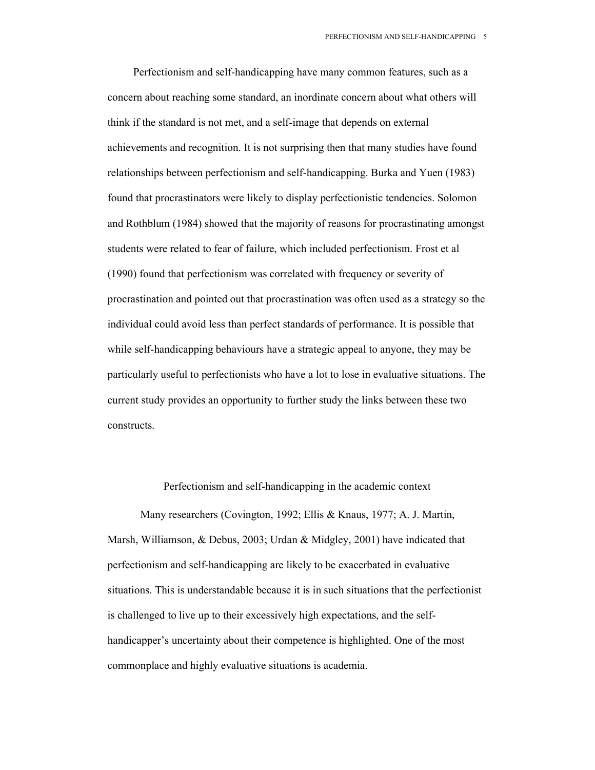Perfectionism and self-handicapping have many common features, such as a concern about reaching some standard, an inordinate concern about what others will think if the standard is not met, and a self-image that depends on external achievements and recognition. It is not surprising then that many studies have found relationships between perfectionism and self-handicapping. Burka and Yuen (1983) found that procrastinators were likely to display perfectionistic tendencies. Solomon and Rothblum (1984) showed that the majority of reasons for procrastinating amongst students were related to fear of failure, which included perfectionism. Frost et al (1990) found that perfectionism was correlated with frequency or severity of procrastination and pointed out that procrastination was often used as a strategy so the individual could avoid less than perfect standards of performance. It is possible that while self-handicapping behaviours have a strategic appeal to anyone, they may be particularly useful to perfectionists who have a lot to lose in evaluative situations. The current study provides an opportunity to further study the links between these two constructs.

# Perfectionism and self-handicapping in the academic context

Many researchers (Covington, 1992; Ellis & Knaus, 1977; A. J. Martin, Marsh, Williamson, & Debus, 2003; Urdan & Midgley, 2001) have indicated that perfectionism and self-handicapping are likely to be exacerbated in evaluative situations. This is understandable because it is in such situations that the perfectionist is challenged to live up to their excessively high expectations, and the selfhandicapper's uncertainty about their competence is highlighted. One of the most commonplace and highly evaluative situations is academia.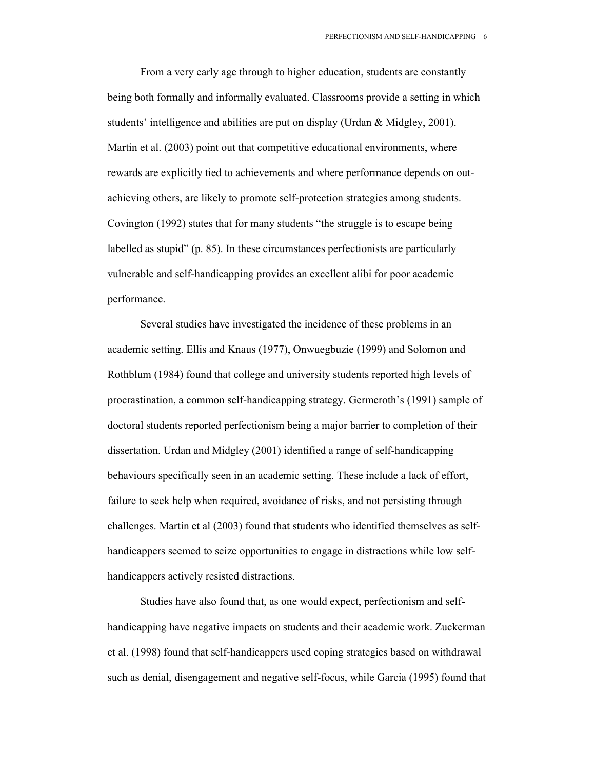From a very early age through to higher education, students are constantly being both formally and informally evaluated. Classrooms provide a setting in which students' intelligence and abilities are put on display (Urdan & Midgley, 2001). Martin et al. (2003) point out that competitive educational environments, where rewards are explicitly tied to achievements and where performance depends on outachieving others, are likely to promote self-protection strategies among students. Covington (1992) states that for many students "the struggle is to escape being labelled as stupid" (p. 85). In these circumstances perfectionists are particularly vulnerable and self-handicapping provides an excellent alibi for poor academic performance.

Several studies have investigated the incidence of these problems in an academic setting. Ellis and Knaus (1977), Onwuegbuzie (1999) and Solomon and Rothblum (1984) found that college and university students reported high levels of procrastination, a common self-handicapping strategy. Germeroth's (1991) sample of doctoral students reported perfectionism being a major barrier to completion of their dissertation. Urdan and Midgley (2001) identified a range of self-handicapping behaviours specifically seen in an academic setting. These include a lack of effort, failure to seek help when required, avoidance of risks, and not persisting through challenges. Martin et al (2003) found that students who identified themselves as selfhandicappers seemed to seize opportunities to engage in distractions while low selfhandicappers actively resisted distractions.

Studies have also found that, as one would expect, perfectionism and selfhandicapping have negative impacts on students and their academic work. Zuckerman et al. (1998) found that self-handicappers used coping strategies based on withdrawal such as denial, disengagement and negative self-focus, while Garcia (1995) found that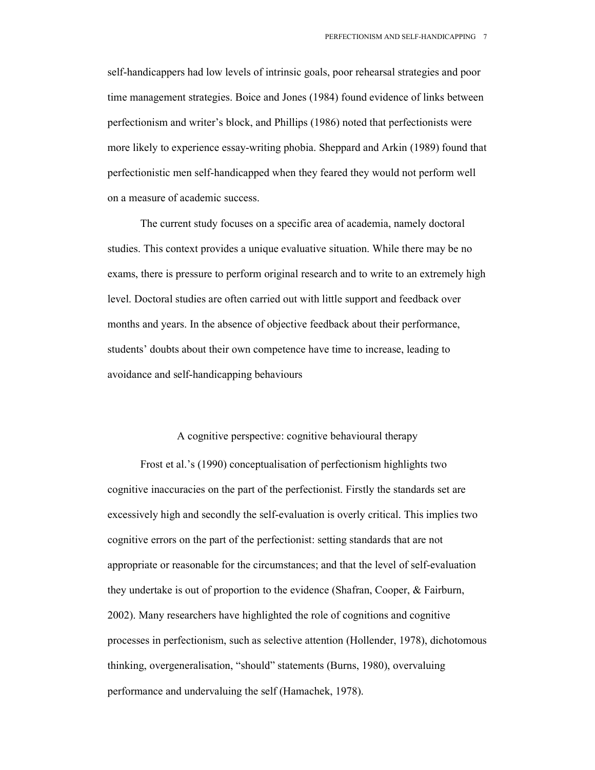self-handicappers had low levels of intrinsic goals, poor rehearsal strategies and poor time management strategies. Boice and Jones (1984) found evidence of links between perfectionism and writer's block, and Phillips (1986) noted that perfectionists were more likely to experience essay-writing phobia. Sheppard and Arkin (1989) found that perfectionistic men self-handicapped when they feared they would not perform well on a measure of academic success.

The current study focuses on a specific area of academia, namely doctoral studies. This context provides a unique evaluative situation. While there may be no exams, there is pressure to perform original research and to write to an extremely high level. Doctoral studies are often carried out with little support and feedback over months and years. In the absence of objective feedback about their performance, students' doubts about their own competence have time to increase, leading to avoidance and self-handicapping behaviours

#### A cognitive perspective: cognitive behavioural therapy

Frost et al.'s (1990) conceptualisation of perfectionism highlights two cognitive inaccuracies on the part of the perfectionist. Firstly the standards set are excessively high and secondly the self-evaluation is overly critical. This implies two cognitive errors on the part of the perfectionist: setting standards that are not appropriate or reasonable for the circumstances; and that the level of self-evaluation they undertake is out of proportion to the evidence (Shafran, Cooper, & Fairburn, 2002). Many researchers have highlighted the role of cognitions and cognitive processes in perfectionism, such as selective attention (Hollender, 1978), dichotomous thinking, overgeneralisation, "should" statements (Burns, 1980), overvaluing performance and undervaluing the self (Hamachek, 1978).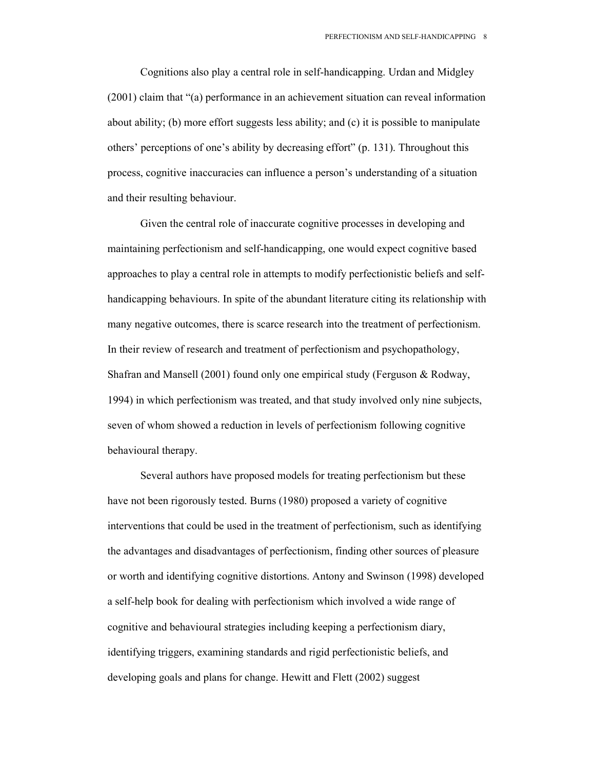Cognitions also play a central role in self-handicapping. Urdan and Midgley (2001) claim that "(a) performance in an achievement situation can reveal information about ability; (b) more effort suggests less ability; and (c) it is possible to manipulate others' perceptions of one's ability by decreasing effort" (p. 131). Throughout this process, cognitive inaccuracies can influence a person's understanding of a situation and their resulting behaviour.

Given the central role of inaccurate cognitive processes in developing and maintaining perfectionism and self-handicapping, one would expect cognitive based approaches to play a central role in attempts to modify perfectionistic beliefs and selfhandicapping behaviours. In spite of the abundant literature citing its relationship with many negative outcomes, there is scarce research into the treatment of perfectionism. In their review of research and treatment of perfectionism and psychopathology, Shafran and Mansell (2001) found only one empirical study (Ferguson & Rodway, 1994) in which perfectionism was treated, and that study involved only nine subjects, seven of whom showed a reduction in levels of perfectionism following cognitive behavioural therapy.

Several authors have proposed models for treating perfectionism but these have not been rigorously tested. Burns (1980) proposed a variety of cognitive interventions that could be used in the treatment of perfectionism, such as identifying the advantages and disadvantages of perfectionism, finding other sources of pleasure or worth and identifying cognitive distortions. Antony and Swinson (1998) developed a self-help book for dealing with perfectionism which involved a wide range of cognitive and behavioural strategies including keeping a perfectionism diary, identifying triggers, examining standards and rigid perfectionistic beliefs, and developing goals and plans for change. Hewitt and Flett (2002) suggest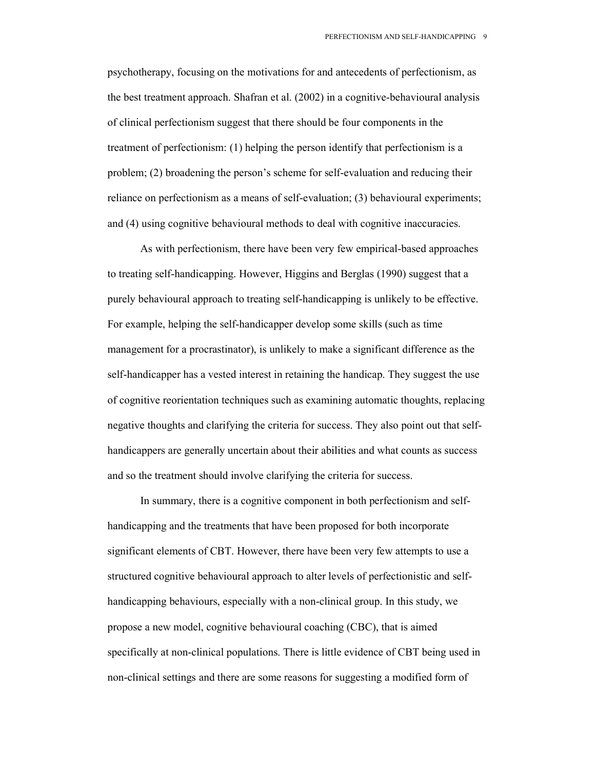psychotherapy, focusing on the motivations for and antecedents of perfectionism, as the best treatment approach. Shafran et al. (2002) in a cognitive-behavioural analysis of clinical perfectionism suggest that there should be four components in the treatment of perfectionism: (1) helping the person identify that perfectionism is a problem; (2) broadening the person's scheme for self-evaluation and reducing their reliance on perfectionism as a means of self-evaluation; (3) behavioural experiments; and (4) using cognitive behavioural methods to deal with cognitive inaccuracies.

As with perfectionism, there have been very few empirical-based approaches to treating self-handicapping. However, Higgins and Berglas (1990) suggest that a purely behavioural approach to treating self-handicapping is unlikely to be effective. For example, helping the self-handicapper develop some skills (such as time management for a procrastinator), is unlikely to make a significant difference as the self-handicapper has a vested interest in retaining the handicap. They suggest the use of cognitive reorientation techniques such as examining automatic thoughts, replacing negative thoughts and clarifying the criteria for success. They also point out that selfhandicappers are generally uncertain about their abilities and what counts as success and so the treatment should involve clarifying the criteria for success.

In summary, there is a cognitive component in both perfectionism and selfhandicapping and the treatments that have been proposed for both incorporate significant elements of CBT. However, there have been very few attempts to use a structured cognitive behavioural approach to alter levels of perfectionistic and selfhandicapping behaviours, especially with a non-clinical group. In this study, we propose a new model, cognitive behavioural coaching (CBC), that is aimed specifically at non-clinical populations. There is little evidence of CBT being used in non-clinical settings and there are some reasons for suggesting a modified form of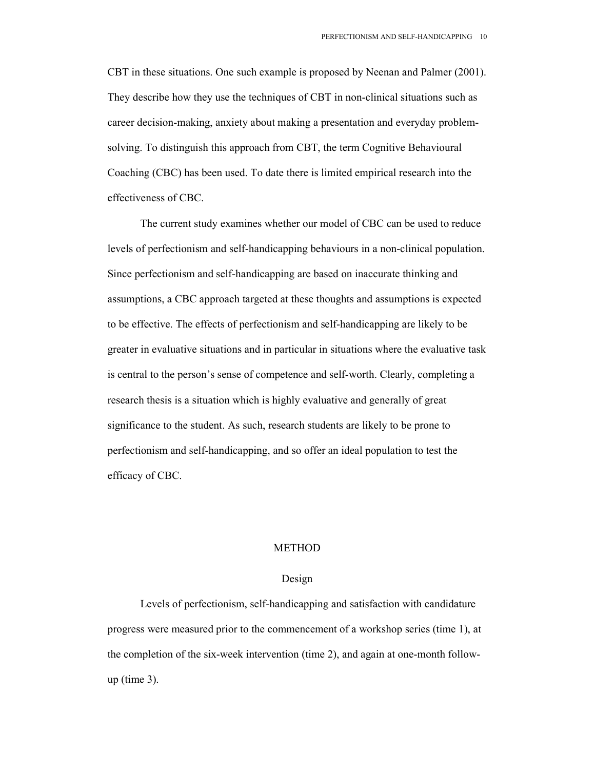CBT in these situations. One such example is proposed by Neenan and Palmer (2001). They describe how they use the techniques of CBT in non-clinical situations such as career decision-making, anxiety about making a presentation and everyday problemsolving. To distinguish this approach from CBT, the term Cognitive Behavioural Coaching (CBC) has been used. To date there is limited empirical research into the effectiveness of CBC.

The current study examines whether our model of CBC can be used to reduce levels of perfectionism and self-handicapping behaviours in a non-clinical population. Since perfectionism and self-handicapping are based on inaccurate thinking and assumptions, a CBC approach targeted at these thoughts and assumptions is expected to be effective. The effects of perfectionism and self-handicapping are likely to be greater in evaluative situations and in particular in situations where the evaluative task is central to the person's sense of competence and self-worth. Clearly, completing a research thesis is a situation which is highly evaluative and generally of great significance to the student. As such, research students are likely to be prone to perfectionism and self-handicapping, and so offer an ideal population to test the efficacy of CBC.

## **METHOD**

#### Design

Levels of perfectionism, self-handicapping and satisfaction with candidature progress were measured prior to the commencement of a workshop series (time 1), at the completion of the six-week intervention (time 2), and again at one-month followup (time 3).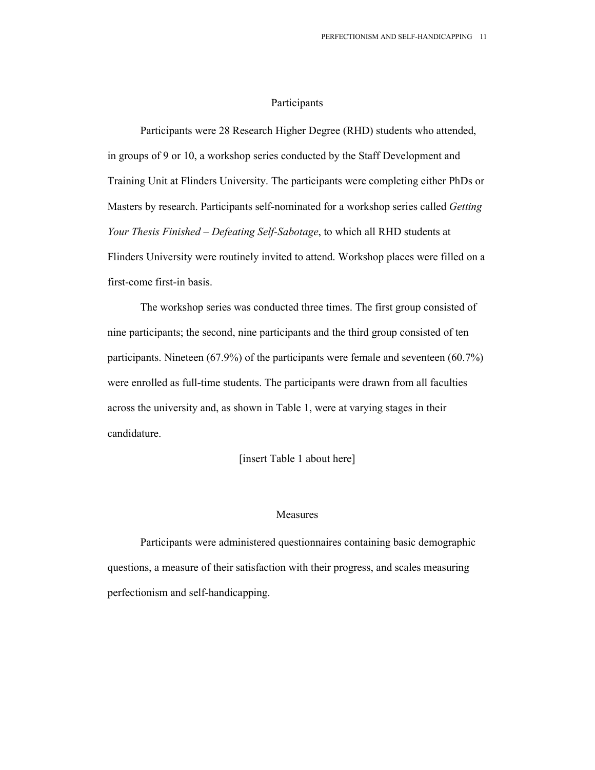# Participants

Participants were 28 Research Higher Degree (RHD) students who attended, in groups of 9 or 10, a workshop series conducted by the Staff Development and Training Unit at Flinders University. The participants were completing either PhDs or Masters by research. Participants self-nominated for a workshop series called Getting Your Thesis Finished – Defeating Self-Sabotage, to which all RHD students at Flinders University were routinely invited to attend. Workshop places were filled on a first-come first-in basis.

The workshop series was conducted three times. The first group consisted of nine participants; the second, nine participants and the third group consisted of ten participants. Nineteen (67.9%) of the participants were female and seventeen (60.7%) were enrolled as full-time students. The participants were drawn from all faculties across the university and, as shown in Table 1, were at varying stages in their candidature.

# [insert Table 1 about here]

#### Measures

Participants were administered questionnaires containing basic demographic questions, a measure of their satisfaction with their progress, and scales measuring perfectionism and self-handicapping.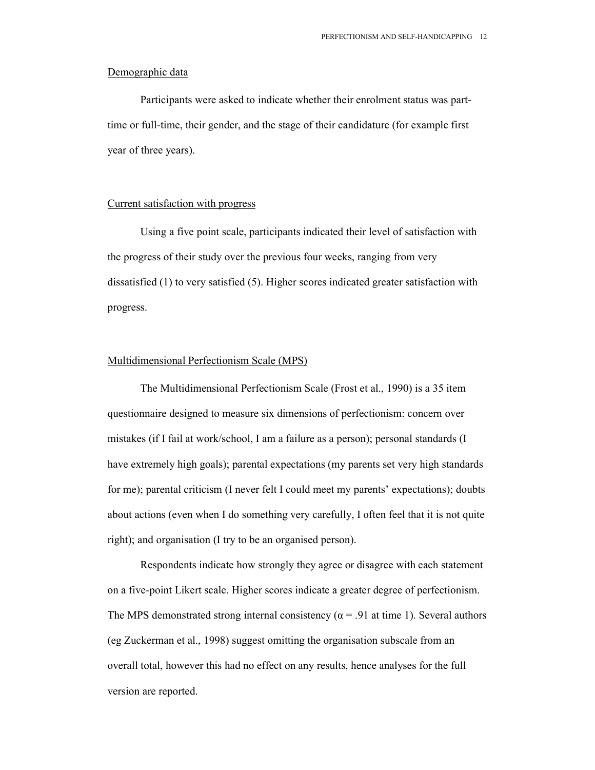#### Demographic data

Participants were asked to indicate whether their enrolment status was parttime or full-time, their gender, and the stage of their candidature (for example first year of three years).

# Current satisfaction with progress

Using a five point scale, participants indicated their level of satisfaction with the progress of their study over the previous four weeks, ranging from very dissatisfied (1) to very satisfied (5). Higher scores indicated greater satisfaction with progress.

#### Multidimensional Perfectionism Scale (MPS)

The Multidimensional Perfectionism Scale (Frost et al., 1990) is a 35 item questionnaire designed to measure six dimensions of perfectionism: concern over mistakes (if I fail at work/school, I am a failure as a person); personal standards (I have extremely high goals); parental expectations (my parents set very high standards for me); parental criticism (I never felt I could meet my parents' expectations); doubts about actions (even when I do something very carefully, I often feel that it is not quite right); and organisation (I try to be an organised person).

Respondents indicate how strongly they agree or disagree with each statement on a five-point Likert scale. Higher scores indicate a greater degree of perfectionism. The MPS demonstrated strong internal consistency ( $\alpha$  = .91 at time 1). Several authors (eg Zuckerman et al., 1998) suggest omitting the organisation subscale from an overall total, however this had no effect on any results, hence analyses for the full version are reported.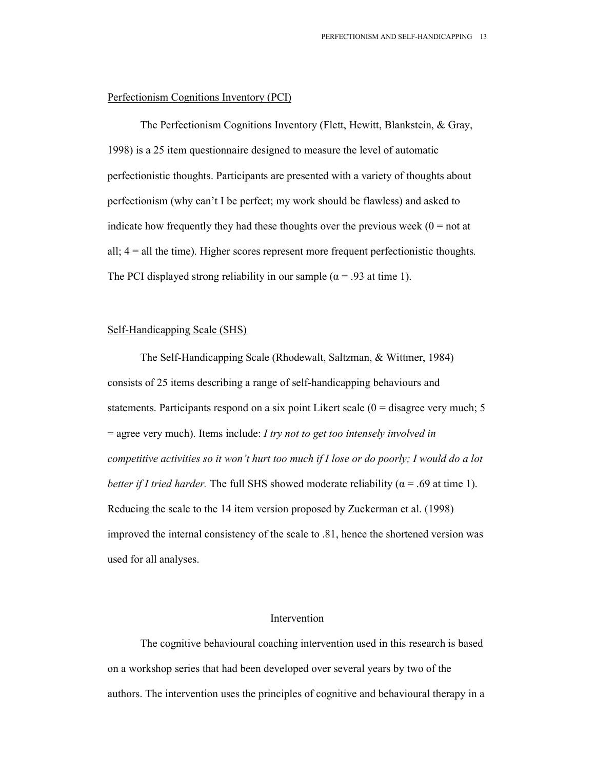#### Perfectionism Cognitions Inventory (PCI)

The Perfectionism Cognitions Inventory (Flett, Hewitt, Blankstein, & Gray, 1998) is a 25 item questionnaire designed to measure the level of automatic perfectionistic thoughts. Participants are presented with a variety of thoughts about perfectionism (why can't I be perfect; my work should be flawless) and asked to indicate how frequently they had these thoughts over the previous week  $(0 = not at$ all;  $4 =$  all the time). Higher scores represent more frequent perfectionistic thoughts. The PCI displayed strong reliability in our sample ( $\alpha$  = .93 at time 1).

#### Self-Handicapping Scale (SHS)

The Self-Handicapping Scale (Rhodewalt, Saltzman, & Wittmer, 1984) consists of 25 items describing a range of self-handicapping behaviours and statements. Participants respond on a six point Likert scale  $(0 =$  disagree very much; 5 = agree very much). Items include: I try not to get too intensely involved in competitive activities so it won't hurt too much if I lose or do poorly; I would do a lot better if I tried harder. The full SHS showed moderate reliability ( $\alpha$  = .69 at time 1). Reducing the scale to the 14 item version proposed by Zuckerman et al. (1998) improved the internal consistency of the scale to .81, hence the shortened version was used for all analyses.

### Intervention

The cognitive behavioural coaching intervention used in this research is based on a workshop series that had been developed over several years by two of the authors. The intervention uses the principles of cognitive and behavioural therapy in a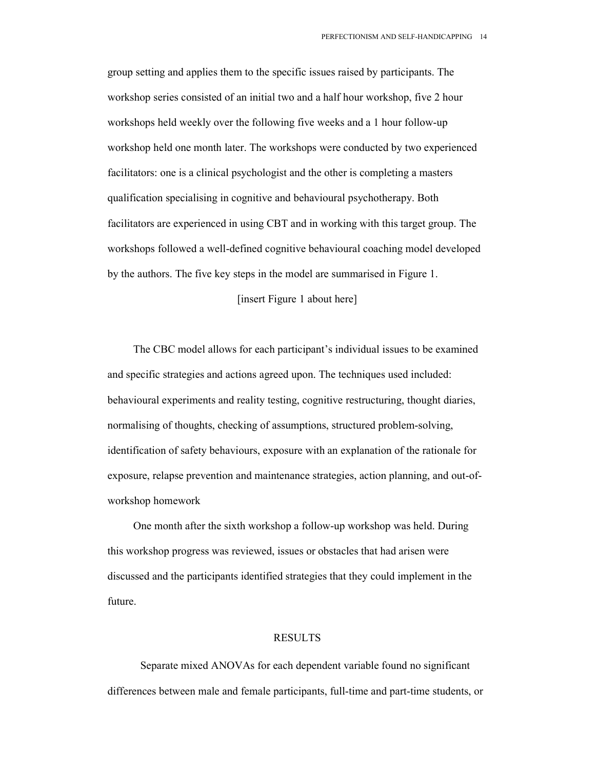group setting and applies them to the specific issues raised by participants. The workshop series consisted of an initial two and a half hour workshop, five 2 hour workshops held weekly over the following five weeks and a 1 hour follow-up workshop held one month later. The workshops were conducted by two experienced facilitators: one is a clinical psychologist and the other is completing a masters qualification specialising in cognitive and behavioural psychotherapy. Both facilitators are experienced in using CBT and in working with this target group. The workshops followed a well-defined cognitive behavioural coaching model developed by the authors. The five key steps in the model are summarised in Figure 1.

# [insert Figure 1 about here]

The CBC model allows for each participant's individual issues to be examined and specific strategies and actions agreed upon. The techniques used included: behavioural experiments and reality testing, cognitive restructuring, thought diaries, normalising of thoughts, checking of assumptions, structured problem-solving, identification of safety behaviours, exposure with an explanation of the rationale for exposure, relapse prevention and maintenance strategies, action planning, and out-ofworkshop homework

One month after the sixth workshop a follow-up workshop was held. During this workshop progress was reviewed, issues or obstacles that had arisen were discussed and the participants identified strategies that they could implement in the future.

#### RESULTS

Separate mixed ANOVAs for each dependent variable found no significant differences between male and female participants, full-time and part-time students, or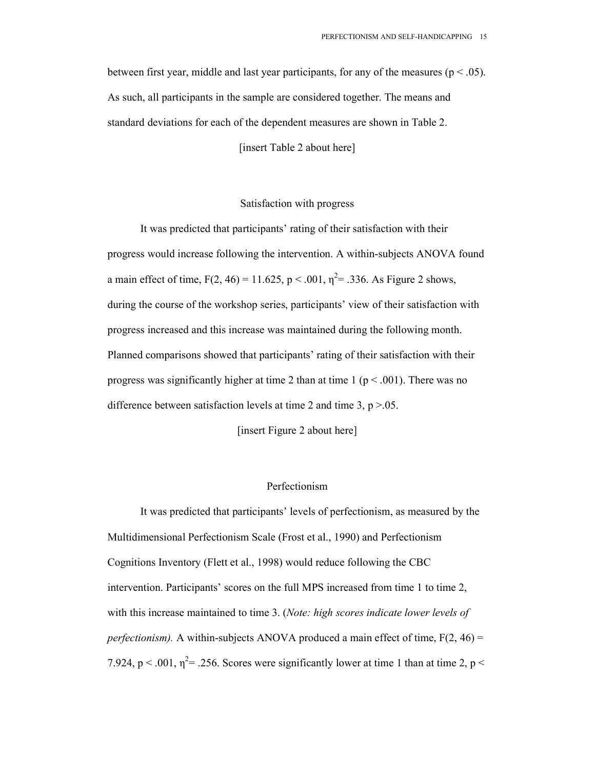between first year, middle and last year participants, for any of the measures ( $p < .05$ ). As such, all participants in the sample are considered together. The means and standard deviations for each of the dependent measures are shown in Table 2.

[insert Table 2 about here]

#### Satisfaction with progress

It was predicted that participants' rating of their satisfaction with their progress would increase following the intervention. A within-subjects ANOVA found a main effect of time,  $F(2, 46) = 11.625$ ,  $p < .001$ ,  $\eta^2 = .336$ . As Figure 2 shows, during the course of the workshop series, participants' view of their satisfaction with progress increased and this increase was maintained during the following month. Planned comparisons showed that participants' rating of their satisfaction with their progress was significantly higher at time 2 than at time 1 ( $p < .001$ ). There was no difference between satisfaction levels at time 2 and time 3,  $p > 0.05$ .

[insert Figure 2 about here]

# Perfectionism

It was predicted that participants' levels of perfectionism, as measured by the Multidimensional Perfectionism Scale (Frost et al., 1990) and Perfectionism Cognitions Inventory (Flett et al., 1998) would reduce following the CBC intervention. Participants' scores on the full MPS increased from time 1 to time 2, with this increase maintained to time 3. (Note: high scores indicate lower levels of perfectionism). A within-subjects ANOVA produced a main effect of time,  $F(2, 46) =$ 7.924, p < .001,  $\eta^2$  = .256. Scores were significantly lower at time 1 than at time 2, p <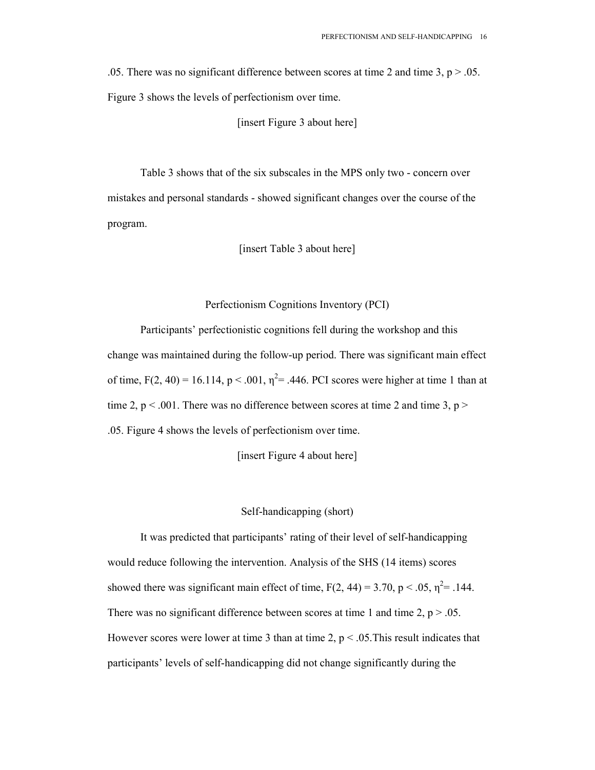.05. There was no significant difference between scores at time 2 and time 3,  $p > .05$ . Figure 3 shows the levels of perfectionism over time.

[insert Figure 3 about here]

Table 3 shows that of the six subscales in the MPS only two - concern over mistakes and personal standards - showed significant changes over the course of the program.

[insert Table 3 about here]

#### Perfectionism Cognitions Inventory (PCI)

Participants' perfectionistic cognitions fell during the workshop and this change was maintained during the follow-up period. There was significant main effect of time,  $F(2, 40) = 16.114$ ,  $p < .001$ ,  $\eta^2 = .446$ . PCI scores were higher at time 1 than at time 2,  $p < .001$ . There was no difference between scores at time 2 and time 3,  $p >$ .05. Figure 4 shows the levels of perfectionism over time.

[insert Figure 4 about here]

#### Self-handicapping (short)

It was predicted that participants' rating of their level of self-handicapping would reduce following the intervention. Analysis of the SHS (14 items) scores showed there was significant main effect of time,  $F(2, 44) = 3.70$ ,  $p < .05$ ,  $\eta^2 = .144$ . There was no significant difference between scores at time 1 and time 2,  $p > .05$ . However scores were lower at time 3 than at time  $2$ ,  $p < 0.05$ . This result indicates that participants' levels of self-handicapping did not change significantly during the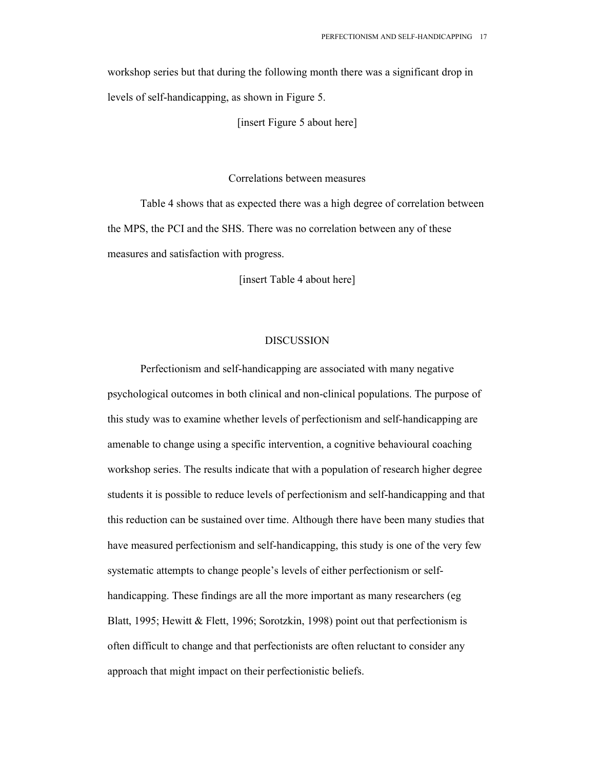workshop series but that during the following month there was a significant drop in levels of self-handicapping, as shown in Figure 5.

[insert Figure 5 about here]

# Correlations between measures

Table 4 shows that as expected there was a high degree of correlation between the MPS, the PCI and the SHS. There was no correlation between any of these measures and satisfaction with progress.

[insert Table 4 about here]

#### DISCUSSION

Perfectionism and self-handicapping are associated with many negative psychological outcomes in both clinical and non-clinical populations. The purpose of this study was to examine whether levels of perfectionism and self-handicapping are amenable to change using a specific intervention, a cognitive behavioural coaching workshop series. The results indicate that with a population of research higher degree students it is possible to reduce levels of perfectionism and self-handicapping and that this reduction can be sustained over time. Although there have been many studies that have measured perfectionism and self-handicapping, this study is one of the very few systematic attempts to change people's levels of either perfectionism or selfhandicapping. These findings are all the more important as many researchers (eg Blatt, 1995; Hewitt & Flett, 1996; Sorotzkin, 1998) point out that perfectionism is often difficult to change and that perfectionists are often reluctant to consider any approach that might impact on their perfectionistic beliefs.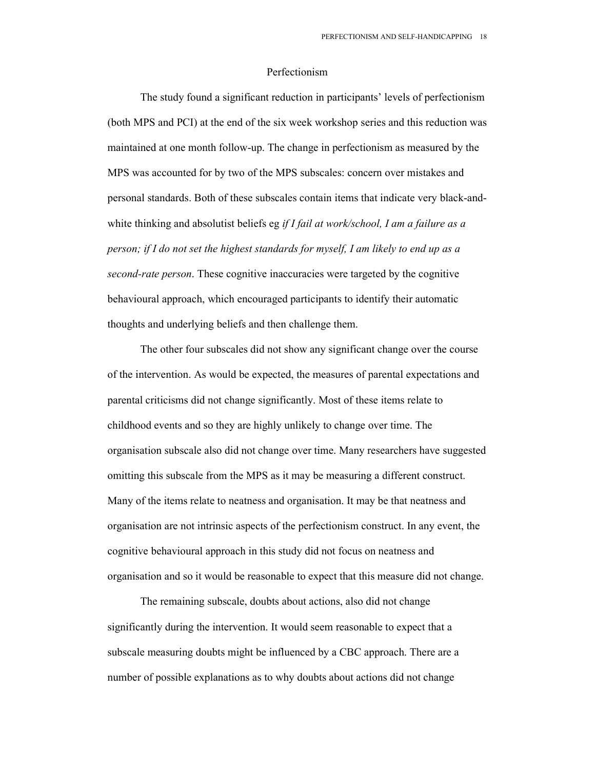#### Perfectionism

The study found a significant reduction in participants' levels of perfectionism (both MPS and PCI) at the end of the six week workshop series and this reduction was maintained at one month follow-up. The change in perfectionism as measured by the MPS was accounted for by two of the MPS subscales: concern over mistakes and personal standards. Both of these subscales contain items that indicate very black-andwhite thinking and absolutist beliefs eg if I fail at work/school, I am a failure as a person; if I do not set the highest standards for myself, I am likely to end up as a second-rate person. These cognitive inaccuracies were targeted by the cognitive behavioural approach, which encouraged participants to identify their automatic thoughts and underlying beliefs and then challenge them.

The other four subscales did not show any significant change over the course of the intervention. As would be expected, the measures of parental expectations and parental criticisms did not change significantly. Most of these items relate to childhood events and so they are highly unlikely to change over time. The organisation subscale also did not change over time. Many researchers have suggested omitting this subscale from the MPS as it may be measuring a different construct. Many of the items relate to neatness and organisation. It may be that neatness and organisation are not intrinsic aspects of the perfectionism construct. In any event, the cognitive behavioural approach in this study did not focus on neatness and organisation and so it would be reasonable to expect that this measure did not change.

The remaining subscale, doubts about actions, also did not change significantly during the intervention. It would seem reasonable to expect that a subscale measuring doubts might be influenced by a CBC approach. There are a number of possible explanations as to why doubts about actions did not change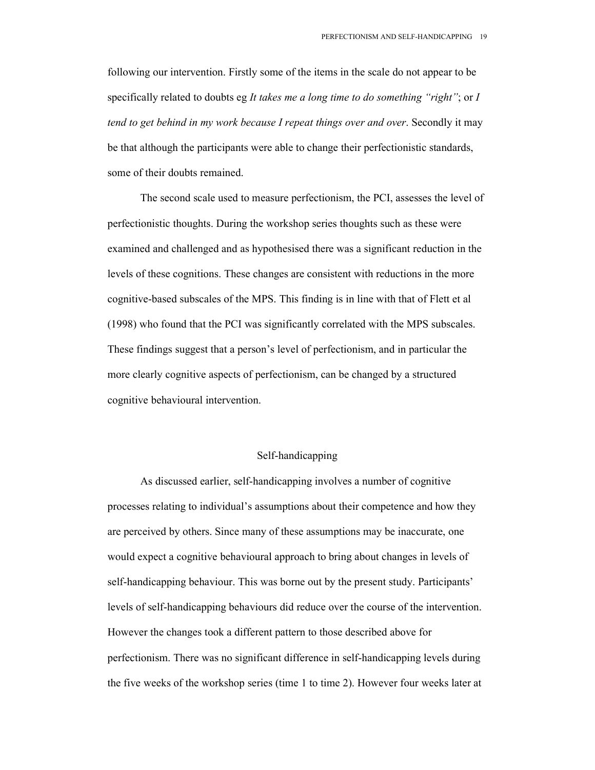following our intervention. Firstly some of the items in the scale do not appear to be specifically related to doubts eg It takes me a long time to do something "right"; or  $I$ tend to get behind in my work because I repeat things over and over. Secondly it may be that although the participants were able to change their perfectionistic standards, some of their doubts remained.

The second scale used to measure perfectionism, the PCI, assesses the level of perfectionistic thoughts. During the workshop series thoughts such as these were examined and challenged and as hypothesised there was a significant reduction in the levels of these cognitions. These changes are consistent with reductions in the more cognitive-based subscales of the MPS. This finding is in line with that of Flett et al (1998) who found that the PCI was significantly correlated with the MPS subscales. These findings suggest that a person's level of perfectionism, and in particular the more clearly cognitive aspects of perfectionism, can be changed by a structured cognitive behavioural intervention.

#### Self-handicapping

As discussed earlier, self-handicapping involves a number of cognitive processes relating to individual's assumptions about their competence and how they are perceived by others. Since many of these assumptions may be inaccurate, one would expect a cognitive behavioural approach to bring about changes in levels of self-handicapping behaviour. This was borne out by the present study. Participants' levels of self-handicapping behaviours did reduce over the course of the intervention. However the changes took a different pattern to those described above for perfectionism. There was no significant difference in self-handicapping levels during the five weeks of the workshop series (time 1 to time 2). However four weeks later at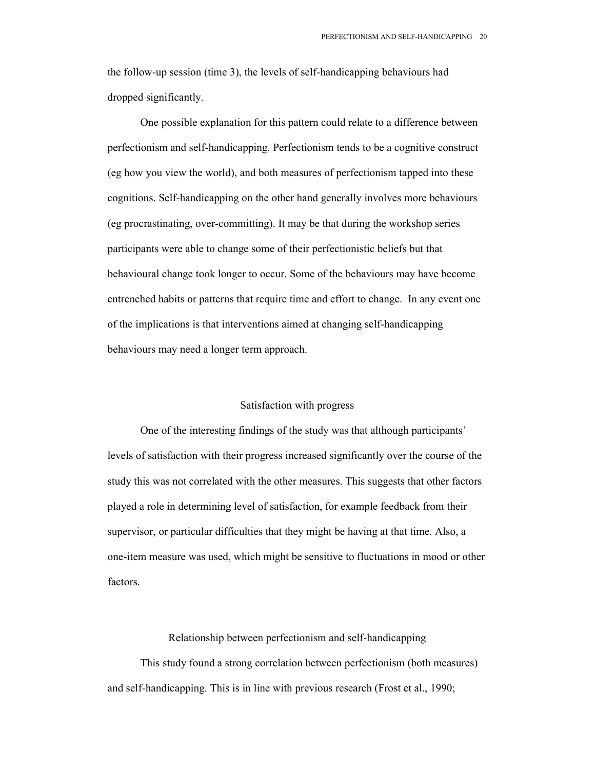the follow-up session (time 3), the levels of self-handicapping behaviours had dropped significantly.

One possible explanation for this pattern could relate to a difference between perfectionism and self-handicapping. Perfectionism tends to be a cognitive construct (eg how you view the world), and both measures of perfectionism tapped into these cognitions. Self-handicapping on the other hand generally involves more behaviours (eg procrastinating, over-committing). It may be that during the workshop series participants were able to change some of their perfectionistic beliefs but that behavioural change took longer to occur. Some of the behaviours may have become entrenched habits or patterns that require time and effort to change. In any event one of the implications is that interventions aimed at changing self-handicapping behaviours may need a longer term approach.

# Satisfaction with progress

One of the interesting findings of the study was that although participants' levels of satisfaction with their progress increased significantly over the course of the study this was not correlated with the other measures. This suggests that other factors played a role in determining level of satisfaction, for example feedback from their supervisor, or particular difficulties that they might be having at that time. Also, a one-item measure was used, which might be sensitive to fluctuations in mood or other factors.

Relationship between perfectionism and self-handicapping

This study found a strong correlation between perfectionism (both measures) and self-handicapping. This is in line with previous research (Frost et al., 1990;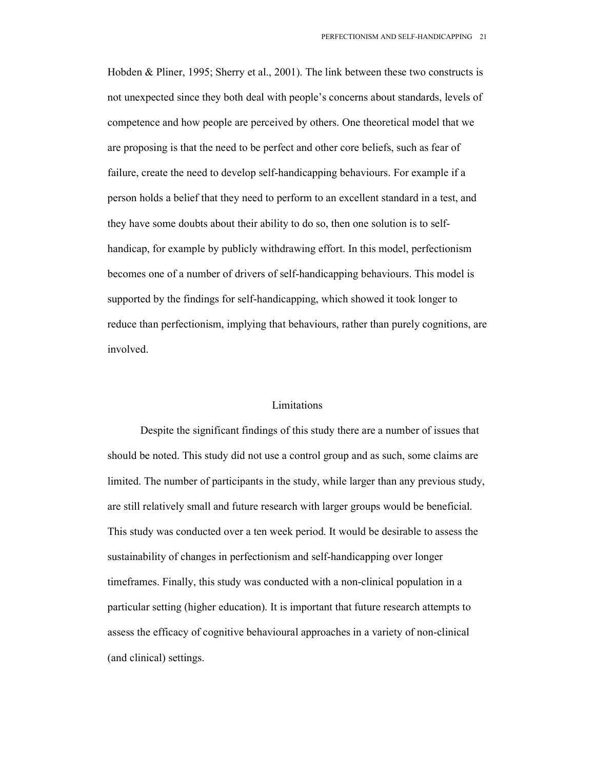Hobden & Pliner, 1995; Sherry et al., 2001). The link between these two constructs is not unexpected since they both deal with people's concerns about standards, levels of competence and how people are perceived by others. One theoretical model that we are proposing is that the need to be perfect and other core beliefs, such as fear of failure, create the need to develop self-handicapping behaviours. For example if a person holds a belief that they need to perform to an excellent standard in a test, and they have some doubts about their ability to do so, then one solution is to selfhandicap, for example by publicly withdrawing effort. In this model, perfectionism becomes one of a number of drivers of self-handicapping behaviours. This model is supported by the findings for self-handicapping, which showed it took longer to reduce than perfectionism, implying that behaviours, rather than purely cognitions, are involved.

#### Limitations

Despite the significant findings of this study there are a number of issues that should be noted. This study did not use a control group and as such, some claims are limited. The number of participants in the study, while larger than any previous study, are still relatively small and future research with larger groups would be beneficial. This study was conducted over a ten week period. It would be desirable to assess the sustainability of changes in perfectionism and self-handicapping over longer timeframes. Finally, this study was conducted with a non-clinical population in a particular setting (higher education). It is important that future research attempts to assess the efficacy of cognitive behavioural approaches in a variety of non-clinical (and clinical) settings.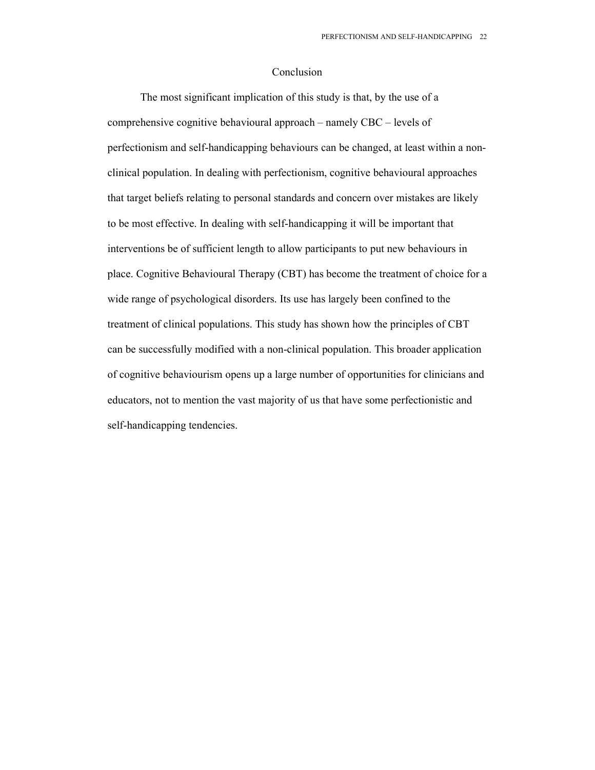# Conclusion

The most significant implication of this study is that, by the use of a comprehensive cognitive behavioural approach – namely CBC – levels of perfectionism and self-handicapping behaviours can be changed, at least within a nonclinical population. In dealing with perfectionism, cognitive behavioural approaches that target beliefs relating to personal standards and concern over mistakes are likely to be most effective. In dealing with self-handicapping it will be important that interventions be of sufficient length to allow participants to put new behaviours in place. Cognitive Behavioural Therapy (CBT) has become the treatment of choice for a wide range of psychological disorders. Its use has largely been confined to the treatment of clinical populations. This study has shown how the principles of CBT can be successfully modified with a non-clinical population. This broader application of cognitive behaviourism opens up a large number of opportunities for clinicians and educators, not to mention the vast majority of us that have some perfectionistic and self-handicapping tendencies.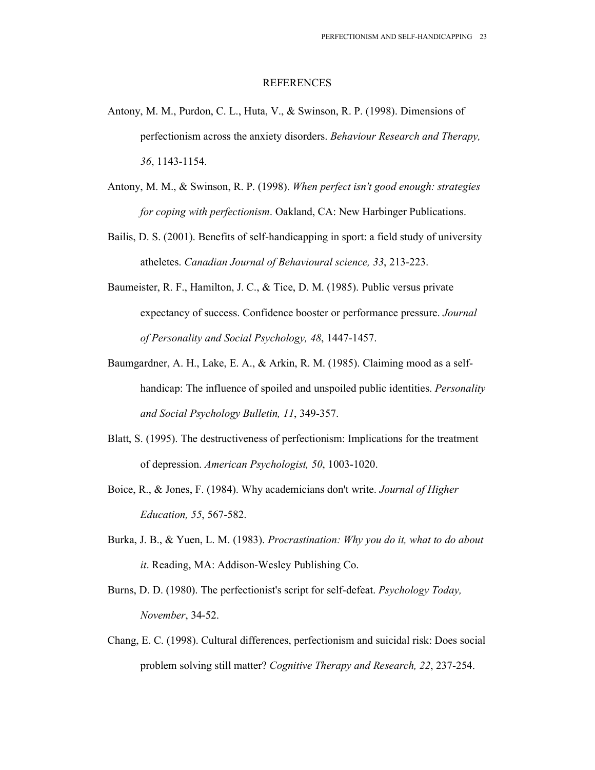#### REFERENCES

- Antony, M. M., Purdon, C. L., Huta, V., & Swinson, R. P. (1998). Dimensions of perfectionism across the anxiety disorders. Behaviour Research and Therapy, 36, 1143-1154.
- Antony, M. M., & Swinson, R. P. (1998). When perfect isn't good enough: strategies for coping with perfectionism. Oakland, CA: New Harbinger Publications.
- Bailis, D. S. (2001). Benefits of self-handicapping in sport: a field study of university atheletes. Canadian Journal of Behavioural science, 33, 213-223.
- Baumeister, R. F., Hamilton, J. C., & Tice, D. M. (1985). Public versus private expectancy of success. Confidence booster or performance pressure. Journal of Personality and Social Psychology, 48, 1447-1457.
- Baumgardner, A. H., Lake, E. A., & Arkin, R. M. (1985). Claiming mood as a selfhandicap: The influence of spoiled and unspoiled public identities. *Personality* and Social Psychology Bulletin, 11, 349-357.
- Blatt, S. (1995). The destructiveness of perfectionism: Implications for the treatment of depression. American Psychologist, 50, 1003-1020.
- Boice, R., & Jones, F. (1984). Why academicians don't write. Journal of Higher Education, 55, 567-582.
- Burka, J. B., & Yuen, L. M. (1983). Procrastination: Why you do it, what to do about it. Reading, MA: Addison-Wesley Publishing Co.
- Burns, D. D. (1980). The perfectionist's script for self-defeat. Psychology Today, November, 34-52.
- Chang, E. C. (1998). Cultural differences, perfectionism and suicidal risk: Does social problem solving still matter? Cognitive Therapy and Research, 22, 237-254.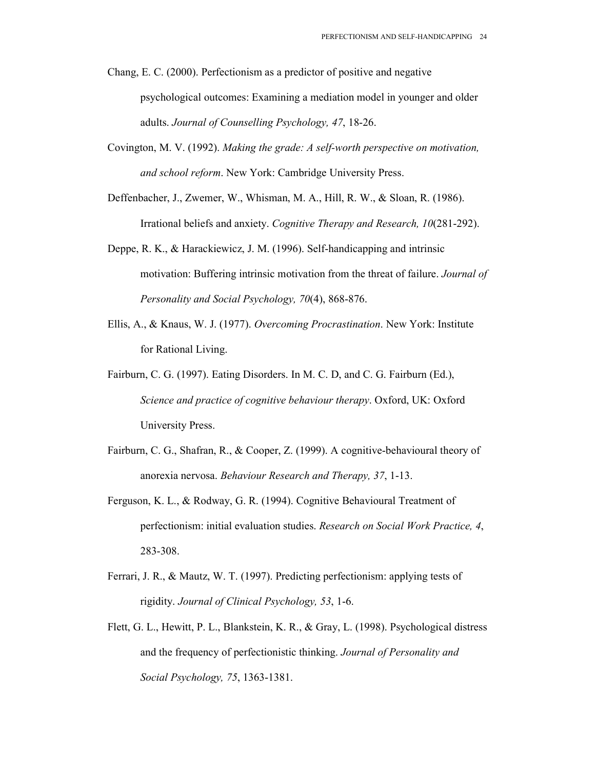- Chang, E. C. (2000). Perfectionism as a predictor of positive and negative psychological outcomes: Examining a mediation model in younger and older adults. Journal of Counselling Psychology, 47, 18-26.
- Covington, M. V. (1992). Making the grade: A self-worth perspective on motivation, and school reform. New York: Cambridge University Press.
- Deffenbacher, J., Zwemer, W., Whisman, M. A., Hill, R. W., & Sloan, R. (1986). Irrational beliefs and anxiety. Cognitive Therapy and Research, 10(281-292).
- Deppe, R. K., & Harackiewicz, J. M. (1996). Self-handicapping and intrinsic motivation: Buffering intrinsic motivation from the threat of failure. *Journal of* Personality and Social Psychology, 70(4), 868-876.
- Ellis, A., & Knaus, W. J. (1977). Overcoming Procrastination. New York: Institute for Rational Living.
- Fairburn, C. G. (1997). Eating Disorders. In M. C. D, and C. G. Fairburn (Ed.), Science and practice of cognitive behaviour therapy. Oxford, UK: Oxford University Press.
- Fairburn, C. G., Shafran, R., & Cooper, Z. (1999). A cognitive-behavioural theory of anorexia nervosa. Behaviour Research and Therapy, 37, 1-13.
- Ferguson, K. L., & Rodway, G. R. (1994). Cognitive Behavioural Treatment of perfectionism: initial evaluation studies. Research on Social Work Practice, 4, 283-308.
- Ferrari, J. R., & Mautz, W. T. (1997). Predicting perfectionism: applying tests of rigidity. Journal of Clinical Psychology, 53, 1-6.
- Flett, G. L., Hewitt, P. L., Blankstein, K. R., & Gray, L. (1998). Psychological distress and the frequency of perfectionistic thinking. Journal of Personality and Social Psychology, 75, 1363-1381.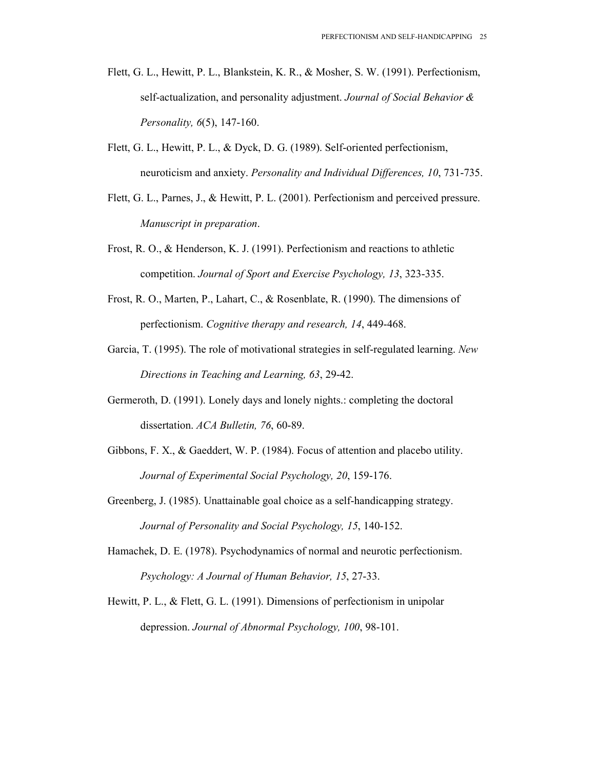- Flett, G. L., Hewitt, P. L., Blankstein, K. R., & Mosher, S. W. (1991). Perfectionism, self-actualization, and personality adjustment. Journal of Social Behavior & Personality, 6(5), 147-160.
- Flett, G. L., Hewitt, P. L., & Dyck, D. G. (1989). Self-oriented perfectionism, neuroticism and anxiety. Personality and Individual Differences, 10, 731-735.
- Flett, G. L., Parnes, J., & Hewitt, P. L. (2001). Perfectionism and perceived pressure. Manuscript in preparation.
- Frost, R. O., & Henderson, K. J. (1991). Perfectionism and reactions to athletic competition. Journal of Sport and Exercise Psychology, 13, 323-335.
- Frost, R. O., Marten, P., Lahart, C., & Rosenblate, R. (1990). The dimensions of perfectionism. Cognitive therapy and research, 14, 449-468.
- Garcia, T. (1995). The role of motivational strategies in self-regulated learning. New Directions in Teaching and Learning, 63, 29-42.
- Germeroth, D. (1991). Lonely days and lonely nights.: completing the doctoral dissertation. ACA Bulletin, 76, 60-89.
- Gibbons, F. X., & Gaeddert, W. P. (1984). Focus of attention and placebo utility. Journal of Experimental Social Psychology, 20, 159-176.
- Greenberg, J. (1985). Unattainable goal choice as a self-handicapping strategy. Journal of Personality and Social Psychology, 15, 140-152.
- Hamachek, D. E. (1978). Psychodynamics of normal and neurotic perfectionism. Psychology: A Journal of Human Behavior, 15, 27-33.
- Hewitt, P. L., & Flett, G. L. (1991). Dimensions of perfectionism in unipolar depression. Journal of Abnormal Psychology, 100, 98-101.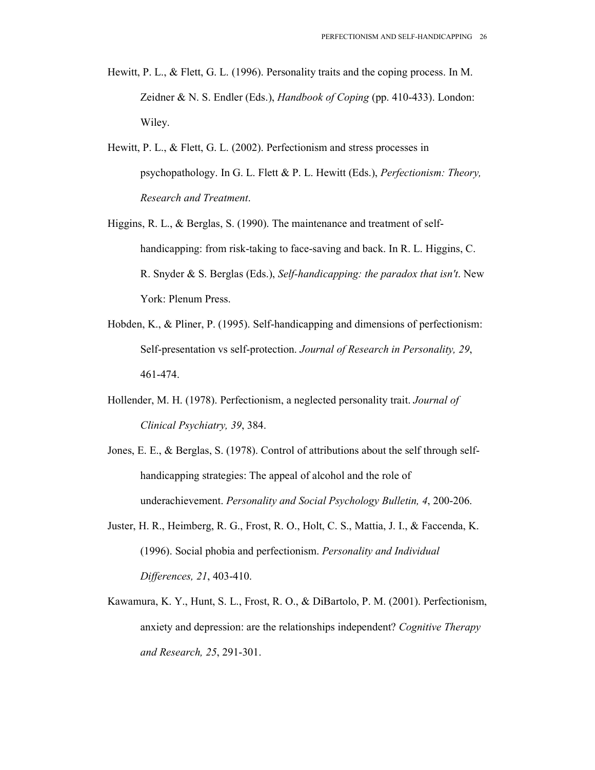- Hewitt, P. L., & Flett, G. L. (1996). Personality traits and the coping process. In M. Zeidner & N. S. Endler (Eds.), *Handbook of Coping* (pp. 410-433). London: Wiley.
- Hewitt, P. L., & Flett, G. L. (2002). Perfectionism and stress processes in psychopathology. In G. L. Flett & P. L. Hewitt (Eds.), Perfectionism: Theory, Research and Treatment.
- Higgins, R. L., & Berglas, S. (1990). The maintenance and treatment of selfhandicapping: from risk-taking to face-saving and back. In R. L. Higgins, C. R. Snyder & S. Berglas (Eds.), Self-handicapping: the paradox that isn't. New York: Plenum Press.
- Hobden, K., & Pliner, P. (1995). Self-handicapping and dimensions of perfectionism: Self-presentation vs self-protection. Journal of Research in Personality, 29, 461-474.
- Hollender, M. H. (1978). Perfectionism, a neglected personality trait. Journal of Clinical Psychiatry, 39, 384.
- Jones, E. E., & Berglas, S. (1978). Control of attributions about the self through selfhandicapping strategies: The appeal of alcohol and the role of underachievement. Personality and Social Psychology Bulletin, 4, 200-206.
- Juster, H. R., Heimberg, R. G., Frost, R. O., Holt, C. S., Mattia, J. I., & Faccenda, K. (1996). Social phobia and perfectionism. Personality and Individual Differences, 21, 403-410.
- Kawamura, K. Y., Hunt, S. L., Frost, R. O., & DiBartolo, P. M. (2001). Perfectionism, anxiety and depression: are the relationships independent? Cognitive Therapy and Research, 25, 291-301.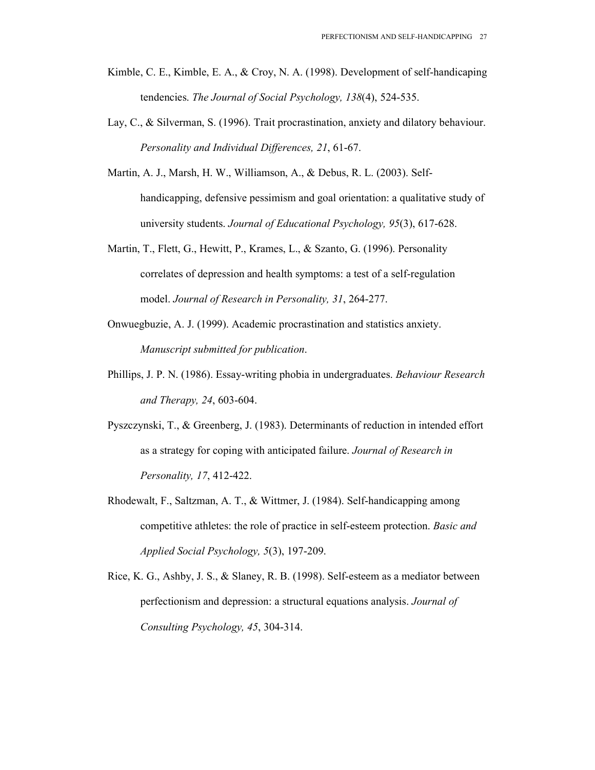- Kimble, C. E., Kimble, E. A., & Croy, N. A. (1998). Development of self-handicaping tendencies. The Journal of Social Psychology, 138(4), 524-535.
- Lay, C., & Silverman, S. (1996). Trait procrastination, anxiety and dilatory behaviour. Personality and Individual Differences, 21, 61-67.

Martin, A. J., Marsh, H. W., Williamson, A., & Debus, R. L. (2003). Selfhandicapping, defensive pessimism and goal orientation: a qualitative study of university students. Journal of Educational Psychology, 95(3), 617-628.

- Martin, T., Flett, G., Hewitt, P., Krames, L., & Szanto, G. (1996). Personality correlates of depression and health symptoms: a test of a self-regulation model. Journal of Research in Personality, 31, 264-277.
- Onwuegbuzie, A. J. (1999). Academic procrastination and statistics anxiety. Manuscript submitted for publication.
- Phillips, J. P. N. (1986). Essay-writing phobia in undergraduates. Behaviour Research and Therapy, 24, 603-604.
- Pyszczynski, T., & Greenberg, J. (1983). Determinants of reduction in intended effort as a strategy for coping with anticipated failure. Journal of Research in Personality, 17, 412-422.
- Rhodewalt, F., Saltzman, A. T., & Wittmer, J. (1984). Self-handicapping among competitive athletes: the role of practice in self-esteem protection. Basic and Applied Social Psychology, 5(3), 197-209.
- Rice, K. G., Ashby, J. S., & Slaney, R. B. (1998). Self-esteem as a mediator between perfectionism and depression: a structural equations analysis. Journal of Consulting Psychology, 45, 304-314.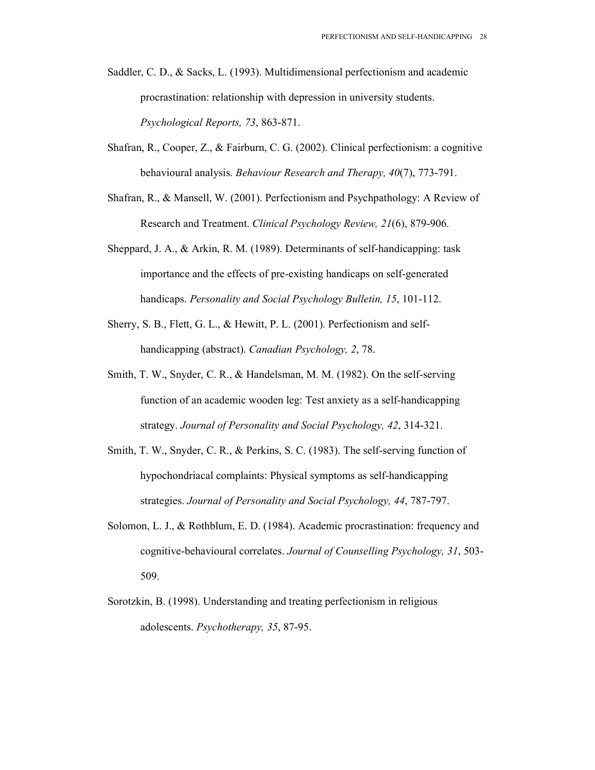- Saddler, C. D., & Sacks, L. (1993). Multidimensional perfectionism and academic procrastination: relationship with depression in university students. Psychological Reports, 73, 863-871.
- Shafran, R., Cooper, Z., & Fairburn, C. G. (2002). Clinical perfectionism: a cognitive behavioural analysis. Behaviour Research and Therapy, 40(7), 773-791.
- Shafran, R., & Mansell, W. (2001). Perfectionism and Psychpathology: A Review of Research and Treatment. Clinical Psychology Review, 21(6), 879-906.
- Sheppard, J. A., & Arkin, R. M. (1989). Determinants of self-handicapping: task importance and the effects of pre-existing handicaps on self-generated handicaps. Personality and Social Psychology Bulletin, 15, 101-112.
- Sherry, S. B., Flett, G. L., & Hewitt, P. L. (2001). Perfectionism and selfhandicapping (abstract). Canadian Psychology, 2, 78.
- Smith, T. W., Snyder, C. R., & Handelsman, M. M. (1982). On the self-serving function of an academic wooden leg: Test anxiety as a self-handicapping strategy. Journal of Personality and Social Psychology, 42, 314-321.
- Smith, T. W., Snyder, C. R., & Perkins, S. C. (1983). The self-serving function of hypochondriacal complaints: Physical symptoms as self-handicapping strategies. Journal of Personality and Social Psychology, 44, 787-797.
- Solomon, L. J., & Rothblum, E. D. (1984). Academic procrastination: frequency and cognitive-behavioural correlates. Journal of Counselling Psychology, 31, 503- 509.
- Sorotzkin, B. (1998). Understanding and treating perfectionism in religious adolescents. Psychotherapy, 35, 87-95.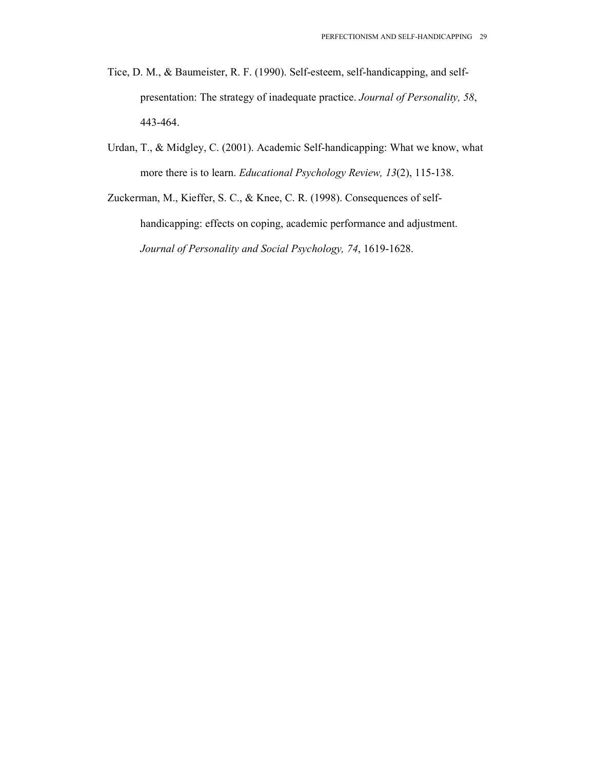- Tice, D. M., & Baumeister, R. F. (1990). Self-esteem, self-handicapping, and selfpresentation: The strategy of inadequate practice. Journal of Personality, 58, 443-464.
- Urdan, T., & Midgley, C. (2001). Academic Self-handicapping: What we know, what more there is to learn. *Educational Psychology Review*, 13(2), 115-138.

Zuckerman, M., Kieffer, S. C., & Knee, C. R. (1998). Consequences of selfhandicapping: effects on coping, academic performance and adjustment. Journal of Personality and Social Psychology, 74, 1619-1628.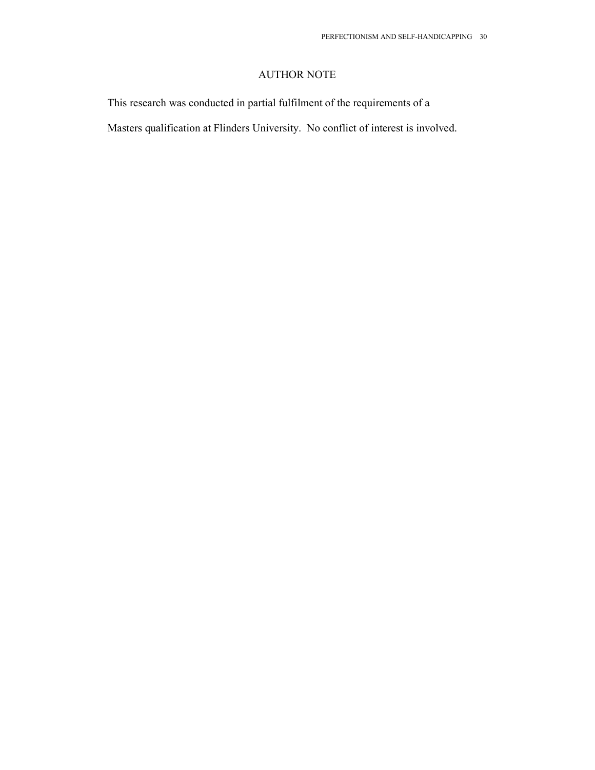# AUTHOR NOTE

This research was conducted in partial fulfilment of the requirements of a

Masters qualification at Flinders University. No conflict of interest is involved.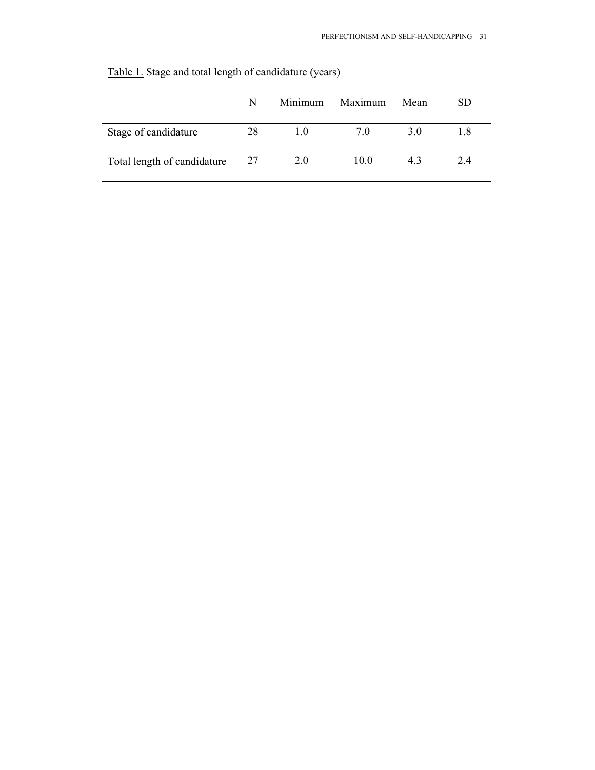|                             | N  | Minimum | Maximum | Mean | SD  |
|-----------------------------|----|---------|---------|------|-----|
| Stage of candidature        | 28 | 10      | 7 O     | 3 O  | 18  |
| Total length of candidature | 27 | 2.0     | 10.0    | 43   | 2.4 |

Table 1. Stage and total length of candidature (years)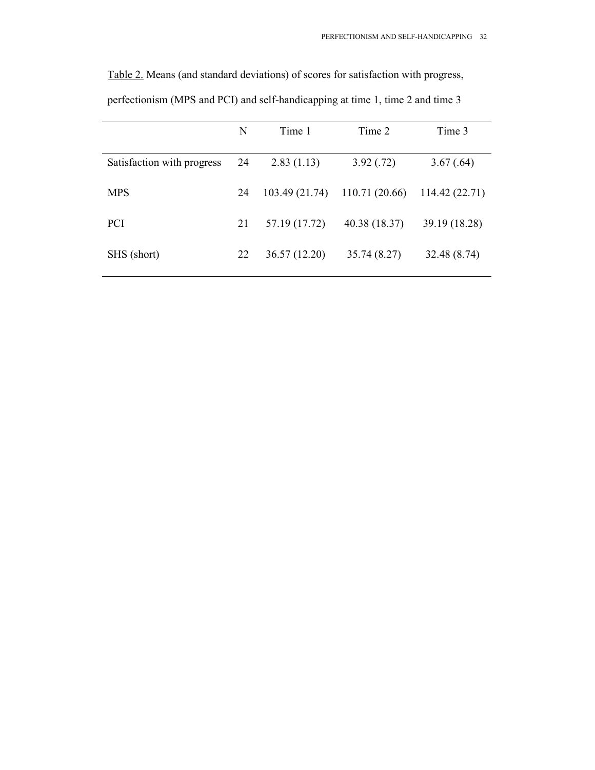|                            | N  | Time 1         | Time 2        | Time 3         |
|----------------------------|----|----------------|---------------|----------------|
| Satisfaction with progress | 24 | 2.83(1.13)     | 3.92(.72)     | 3.67(.64)      |
| <b>MPS</b>                 | 24 | 103.49 (21.74) | 110.71(20.66) | 114.42 (22.71) |
| <b>PCI</b>                 | 21 | 57.19 (17.72)  | 40.38 (18.37) | 39.19 (18.28)  |
| SHS (short)                | 22 | 36.57 (12.20)  | 35.74 (8.27)  | 32.48 (8.74)   |
|                            |    |                |               |                |

Table 2. Means (and standard deviations) of scores for satisfaction with progress,

perfectionism (MPS and PCI) and self-handicapping at time 1, time 2 and time 3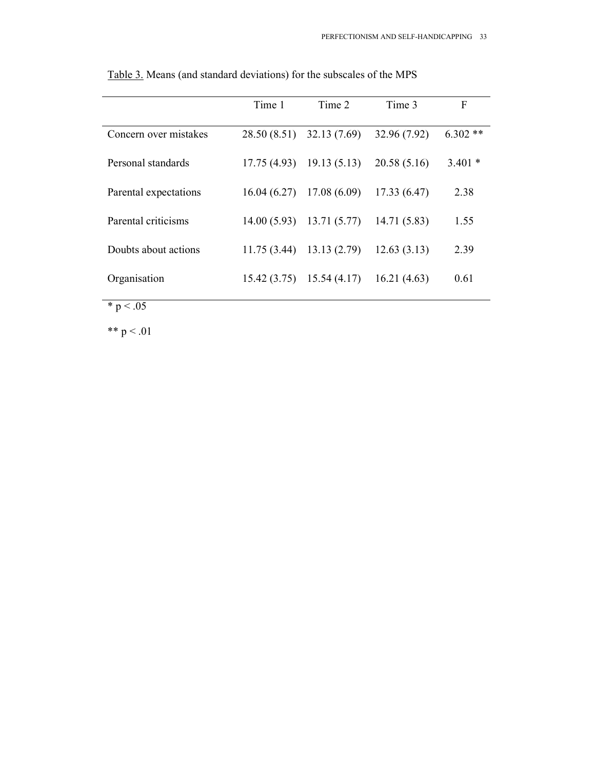|                       | Time 1      | Time 2                      | Time 3       | $\mathbf{F}$ |
|-----------------------|-------------|-----------------------------|--------------|--------------|
| Concern over mistakes |             | $28.50(8.51)$ $32.13(7.69)$ | 32.96 (7.92) | $6.302**$    |
| Personal standards    | 17.75(4.93) | 19.13(5.13)                 | 20.58(5.16)  | $3.401*$     |
| Parental expectations | 16.04(6.27) | 17.08(6.09)                 | 17.33(6.47)  | 2.38         |
| Parental criticisms   | 14.00(5.93) | 13.71(5.77)                 | 14.71 (5.83) | 1.55         |
| Doubts about actions  | 11.75(3.44) | 13.13(2.79)                 | 12.63(3.13)  | 2.39         |
| Organisation          | 15.42(3.75) | 15.54(4.17)                 | 16.21(4.63)  | 0.61         |

|  |  |  | Table 3. Means (and standard deviations) for the subscales of the MPS |  |  |
|--|--|--|-----------------------------------------------------------------------|--|--|
|  |  |  |                                                                       |  |  |

 $* p < .05$ 

\*\*  $p < 01$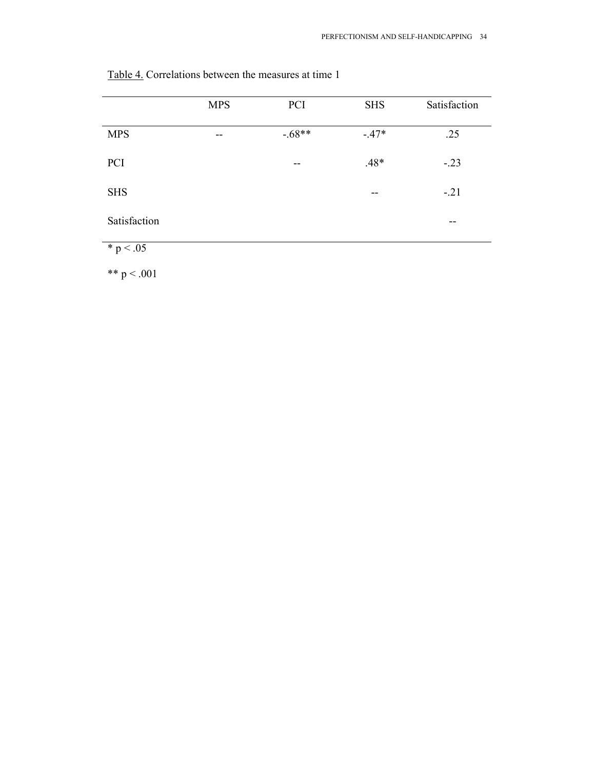|              | <b>MPS</b> | PCI      | <b>SHS</b> | Satisfaction |
|--------------|------------|----------|------------|--------------|
|              |            |          |            |              |
| <b>MPS</b>   | --         | $-.68**$ | $-.47*$    | .25          |
|              |            |          |            |              |
| PCI          |            | --       | $.48*$     | $-.23$       |
|              |            |          |            |              |
| <b>SHS</b>   |            |          |            | $-.21$       |
|              |            |          |            |              |
| Satisfaction |            |          |            | --           |
|              |            |          |            |              |
| $* p < .05$  |            |          |            |              |

Table 4. Correlations between the measures at time 1

\*\*  $p < .001$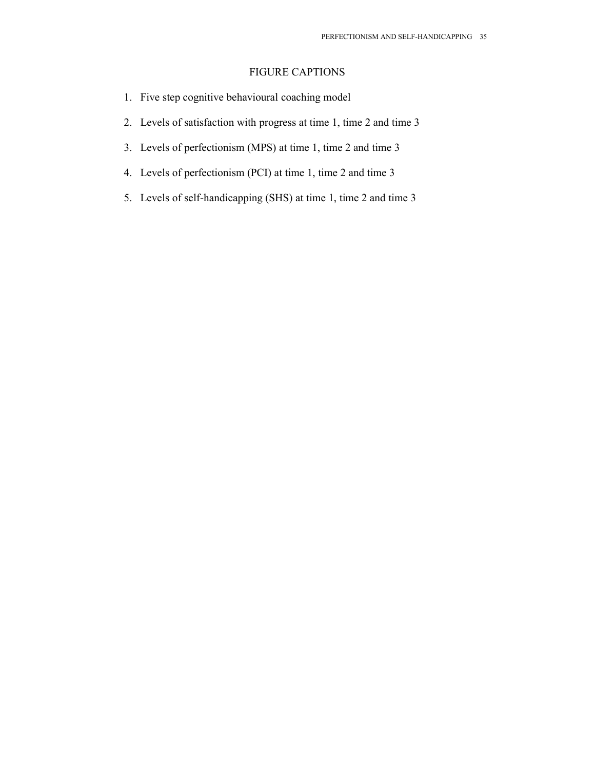# FIGURE CAPTIONS

- 1. Five step cognitive behavioural coaching model
- 2. Levels of satisfaction with progress at time 1, time 2 and time 3
- 3. Levels of perfectionism (MPS) at time 1, time 2 and time 3
- 4. Levels of perfectionism (PCI) at time 1, time 2 and time 3
- 5. Levels of self-handicapping (SHS) at time 1, time 2 and time 3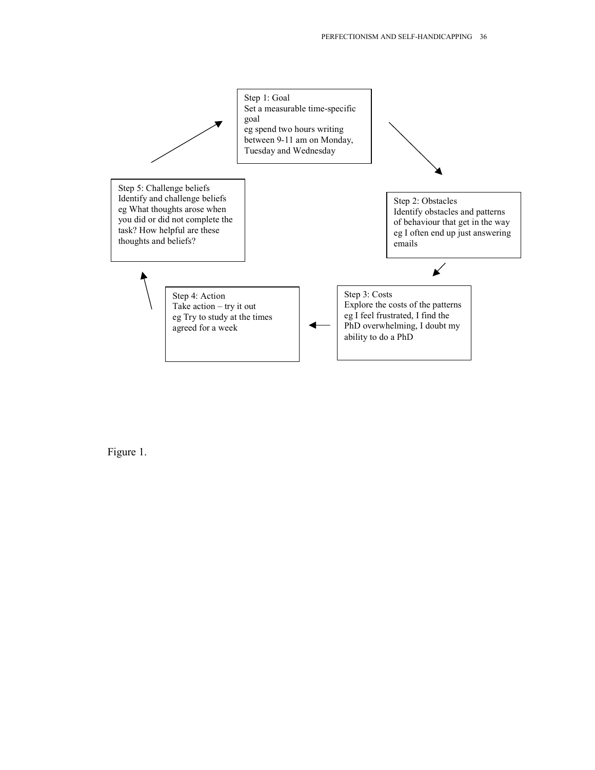

Figure 1.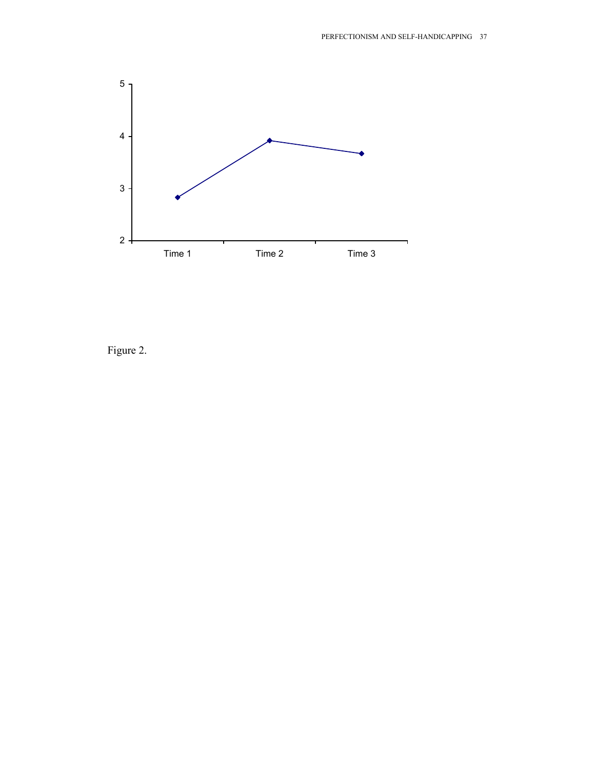

Figure 2.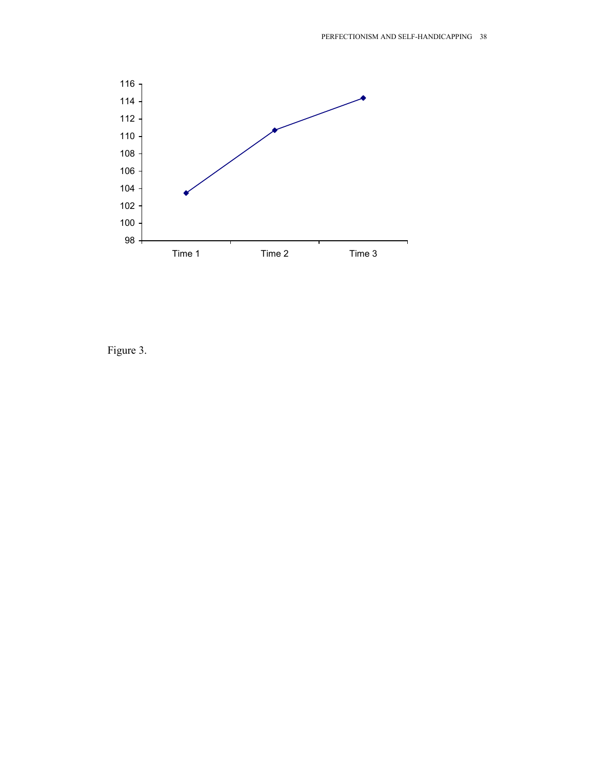

Figure 3.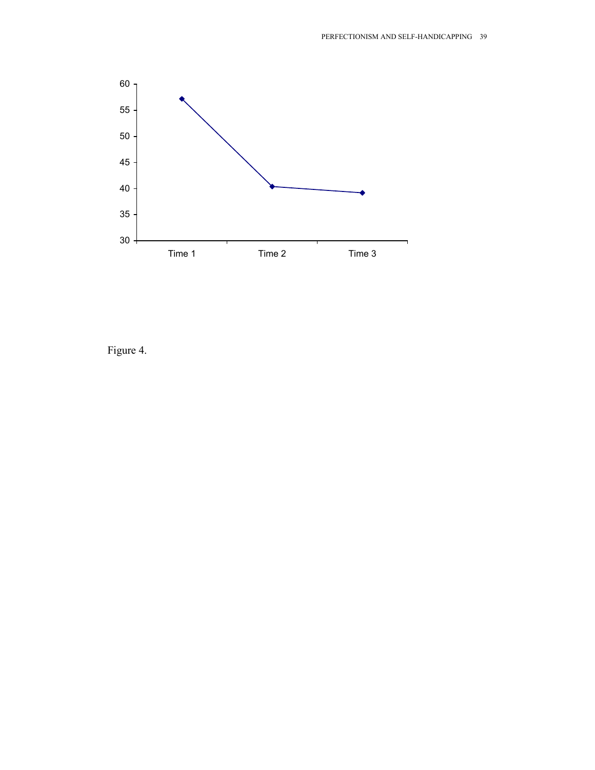

Figure 4.